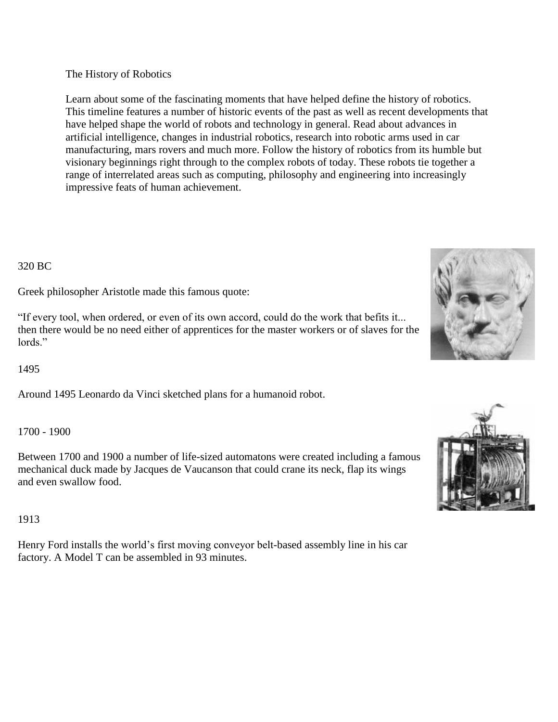The History of Robotics

Learn about some of the fascinating moments that have helped define the history of robotics. This timeline features a number of historic events of the past as well as recent developments that have helped shape the world of robots and technology in general. Read about advances in artificial intelligence, changes in industrial robotics, research into robotic arms used in car manufacturing, mars rovers and much more. Follow the history of robotics from its humble but visionary beginnings right through to the complex robots of today. These robots tie together a range of interrelated areas such as computing, philosophy and engineering into increasingly impressive feats of human achievement.

#### 320 BC

Greek philosopher Aristotle made this famous quote:

"If every tool, when ordered, or even of its own accord, could do the work that befits it... then there would be no need either of apprentices for the master workers or of slaves for the lords."

1495

Around 1495 Leonardo da Vinci sketched plans for a humanoid robot.

#### 1700 - 1900

Between 1700 and 1900 a number of life-sized automatons were created including a famous mechanical duck made by Jacques de Vaucanson that could crane its neck, flap its wings and even swallow food.

## 1913

Henry Ford installs the world's first moving conveyor belt-based assembly line in his car factory. A Model T can be assembled in 93 minutes.



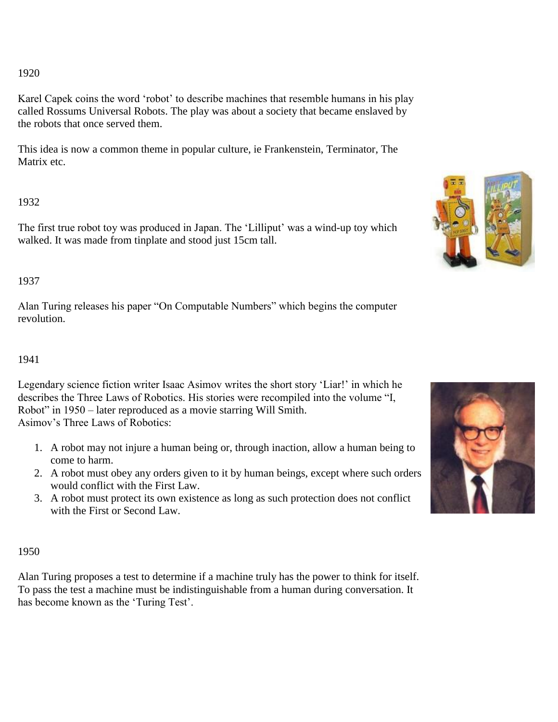### 1920

Karel Capek coins the word 'robot' to describe machines that resemble humans in his play called Rossums Universal Robots. The play was about a society that became enslaved by the robots that once served them.

This idea is now a common theme in popular culture, ie Frankenstein, Terminator, The Matrix etc.

# 1932

The first true robot toy was produced in Japan. The 'Lilliput' was a wind-up toy which walked. It was made from tinplate and stood just 15cm tall.

## 1937

Alan Turing releases his paper "On Computable Numbers" which begins the computer revolution.

## 1941

Legendary science fiction writer Isaac Asimov writes the short story 'Liar!' in which he describes the Three Laws of Robotics. His stories were recompiled into the volume "I, Robot" in 1950 – later reproduced as a movie starring Will Smith. Asimov's Three Laws of Robotics:

- 1. A robot may not injure a human being or, through inaction, allow a human being to come to harm.
- 2. A robot must obey any orders given to it by human beings, except where such orders would conflict with the First Law.
- 3. A robot must protect its own existence as long as such protection does not conflict with the First or Second Law.

## 1950

Alan Turing proposes a test to determine if a machine truly has the power to think for itself. To pass the test a machine must be indistinguishable from a human during conversation. It has become known as the 'Turing Test'.



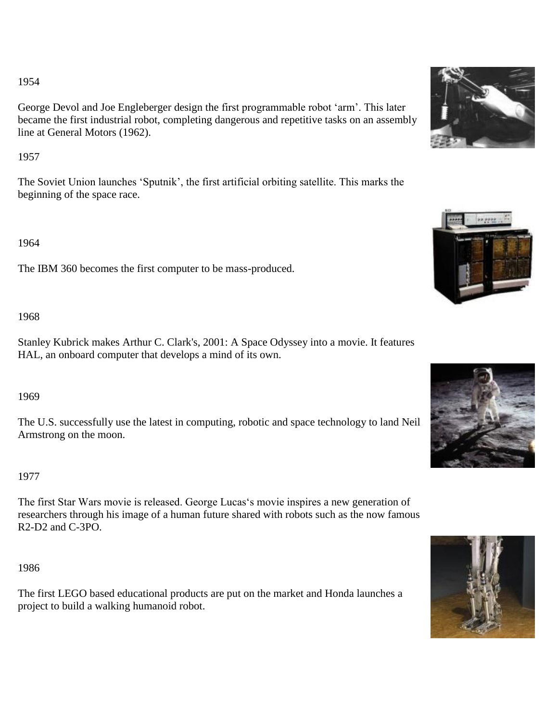## 1954

George Devol and Joe Engleberger design the first programmable robot 'arm'. This later became the first industrial robot, completing dangerous and repetitive tasks on an assembly line at General Motors (1962).

# 1957

The Soviet Union launches 'Sputnik', the first artificial orbiting satellite. This marks the beginning of the space race.

1964

The IBM 360 becomes the first computer to be mass-produced.

# 1968

Stanley Kubrick makes Arthur C. Clark's, 2001: A Space Odyssey into a movie. It features HAL, an onboard computer that develops a mind of its own.

# 1969

The U.S. successfully use the latest in computing, robotic and space technology to land Neil Armstrong on the moon.

# 1977

The first Star Wars movie is released. George Lucas's movie inspires a new generation of researchers through his image of a human future shared with robots such as the now famous R2-D2 and C-3PO.

1986

The first LEGO based educational products are put on the market and Honda launches a project to build a walking humanoid robot.